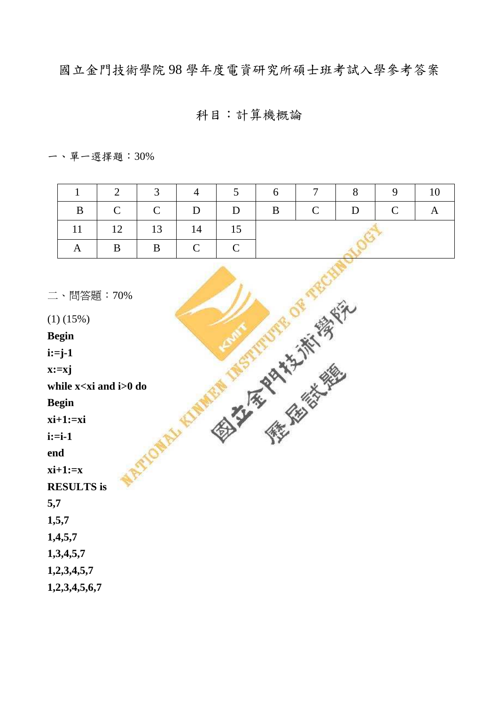國立金門技術學院98學年度電資研究所碩士班考試入學參考答案

## 科目:計算機概論

 $- \cdot$  單一選擇題: 30%

|              |                                      |               |                                           | 2 3 4 5 6 7 8 9 |  |  |  |  |
|--------------|--------------------------------------|---------------|-------------------------------------------|-----------------|--|--|--|--|
| $\mathbf{B}$ |                                      |               |                                           |                 |  |  |  |  |
|              | $11 \mid 12 \mid 13 \mid 14 \mid 15$ |               |                                           |                 |  |  |  |  |
|              | $\overline{B}$                       | $\parallel$ B | $\begin{array}{c c} \hline \end{array}$ C |                 |  |  |  |  |

| 二、問答題: 70%                        |  |
|-----------------------------------|--|
| $(1)$ $(15%)$                     |  |
| <b>Begin</b>                      |  |
| $i:=j-1$                          |  |
| $x:=xj$                           |  |
| while x <xi and="" i="">0 do</xi> |  |
| <b>Begin</b>                      |  |
| $xi+1:=xi$                        |  |
| $i:=i-1$                          |  |
| end                               |  |
| $xi+1:=x$                         |  |
| <b>RESULTS</b> is                 |  |
| 5,7                               |  |
| 1,5,7                             |  |
| 1,4,5,7                           |  |
| 1,3,4,5,7                         |  |
| 1,2,3,4,5,7                       |  |
| 1,2,3,4,5,6,7                     |  |
|                                   |  |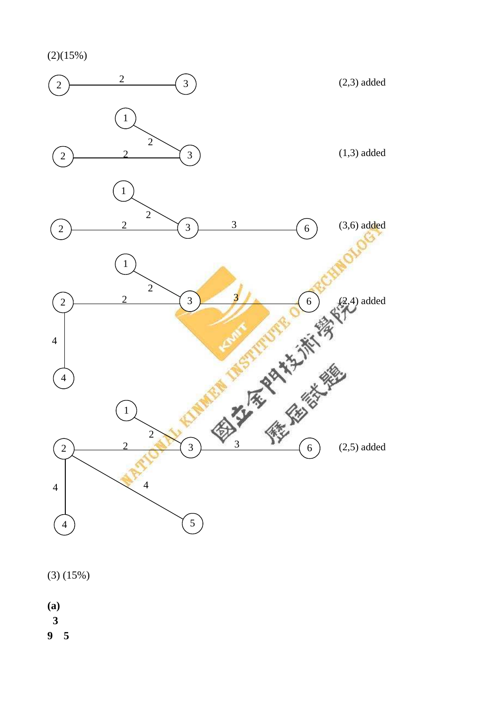(2)(15%)



(3) (15%)

- **(a)**
- 
- **9 5**